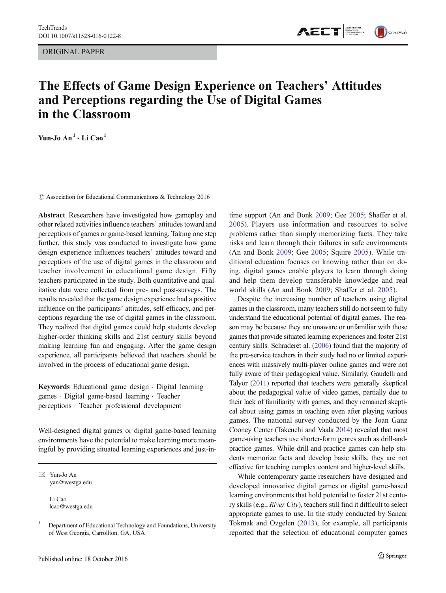ORIGINAL PAPER



# The Effects of Game Design Experience on Teachers' Attitudes and Perceptions regarding the Use of Digital Games in the Classroom

Yun-Jo  $An^1 \cdot Li Ca0^1$ 

 $\odot$  Association for Educational Communications & Technology 2016

Abstract Researchers have investigated how gameplay and other related activities influence teachers' attitudes toward and perceptions of games or game-based learning. Taking one step further, this study was conducted to investigate how game design experience influences teachers' attitudes toward and perceptions of the use of digital games in the classroom and teacher involvement in educational game design. Fifty teachers participated in the study. Both quantitative and qualitative data were collected from pre- and post-surveys. The results revealed that the game design experience had a positive influence on the participants' attitudes, self-efficacy, and perceptions regarding the use of digital games in the classroom. They realized that digital games could help students develop higher-order thinking skills and 21st century skills beyond making learning fun and engaging. After the game design experience, all participants believed that teachers should be involved in the process of educational game design.

Keywords Educational game design . Digital learning games . Digital game-based learning . Teacher perceptions . Teacher professional development

Well-designed digital games or digital game-based learning environments have the potential to make learning more meaningful by providing situated learning experiences and just-in-

 $\boxtimes$  Yun-Jo An yan@westga.edu

> Li Cao lcao@westga.edu

time support (An and Bonk [2009;](#page-8-0) Gee [2005](#page-8-0); Shaffer et al. [2005](#page-8-0)). Players use information and resources to solve problems rather than simply memorizing facts. They take risks and learn through their failures in safe environments (An and Bonk [2009;](#page-8-0) Gee [2005](#page-8-0); Squire [2005\)](#page-8-0). While traditional education focuses on knowing rather than on doing, digital games enable players to learn through doing and help them develop transferable knowledge and real world skills (An and Bonk [2009](#page-8-0); Shaffer et al. [2005](#page-8-0)).

Despite the increasing number of teachers using digital games in the classroom, many teachers still do not seem to fully understand the educational potential of digital games. The reason may be because they are unaware or unfamiliar with those games that provide situated learning experiences and foster 21st century skills. Schraderet al. [\(2006](#page-8-0)) found that the majority of the pre-service teachers in their study had no or limited experiences with massively multi-player online games and were not fully aware of their pedagogical value. Similarly, Gaudelli and Talyor [\(2011](#page-8-0)) reported that teachers were generally skeptical about the pedagogical value of video games, partially due to their lack of familiarity with games, and they remained skeptical about using games in teaching even after playing various games. The national survey conducted by the Joan Ganz Cooney Center (Takeuchi and Vaala [2014\)](#page-8-0) revealed that most game-using teachers use shorter-form genres such as drill-andpractice games. While drill-and-practice games can help students memorize facts and develop basic skills, they are not effective for teaching complex content and higher-level skills.

While contemporary game researchers have designed and developed innovative digital games or digital game-based learning environments that hold potential to foster 21st century skills (e.g., River City), teachers still find it difficult to select appropriate games to use. In the study conducted by Sancar Tokmak and Ozgelen [\(2013](#page-8-0)), for example, all participants reported that the selection of educational computer games

<sup>&</sup>lt;sup>1</sup> Department of Educational Technology and Foundations, University of West Georgia, Carrollton, GA, USA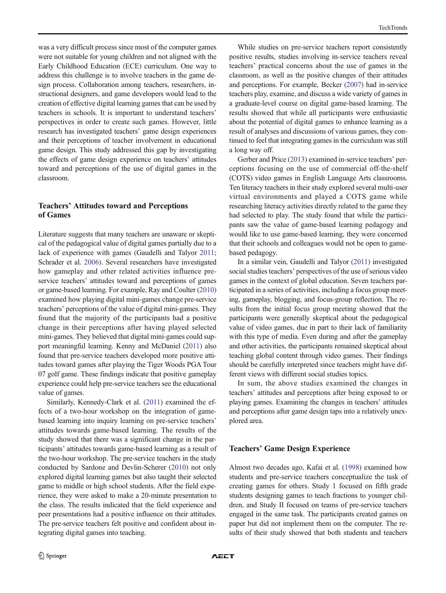was a very difficult process since most of the computer games were not suitable for young children and not aligned with the Early Childhood Education (ECE) curriculum. One way to address this challenge is to involve teachers in the game design process. Collaboration among teachers, researchers, instructional designers, and game developers would lead to the creation of effective digital learning games that can be used by teachers in schools. It is important to understand teachers' perspectives in order to create such games. However, little research has investigated teachers' game design experiences and their perceptions of teacher involvement in educational game design. This study addressed this gap by investigating the effects of game design experience on teachers' attitudes toward and perceptions of the use of digital games in the classroom.

# Teachers' Attitudes toward and Perceptions of Games

Literature suggests that many teachers are unaware or skeptical of the pedagogical value of digital games partially due to a lack of experience with games (Gaudelli and Talyor [2011](#page-8-0); Schrader et al. [2006](#page-8-0)). Several researchers have investigated how gameplay and other related activities influence preservice teachers' attitudes toward and perceptions of games or game-based learning. For example, Ray and Coulter [\(2010\)](#page-8-0) examined how playing digital mini-games change pre-service teachers' perceptions of the value of digital mini-games. They found that the majority of the participants had a positive change in their perceptions after having played selected mini-games. They believed that digital mini-games could support meaningful learning. Kenny and McDaniel ([2011\)](#page-8-0) also found that pre-service teachers developed more positive attitudes toward games after playing the Tiger Woods PGA Tour 07 golf game. These findings indicate that positive gameplay experience could help pre-service teachers see the educational value of games.

Similarly, Kennedy-Clark et al. ([2011](#page-8-0)) examined the effects of a two-hour workshop on the integration of gamebased learning into inquiry learning on pre-service teachers' attitudes towards game-based learning. The results of the study showed that there was a significant change in the participants' attitudes towards game-based learning as a result of the two-hour workshop. The pre-service teachers in the study conducted by Sardone and Devlin-Scherer ([2010](#page-8-0)) not only explored digital learning games but also taught their selected game to middle or high school students. After the field experience, they were asked to make a 20-minute presentation to the class. The results indicated that the field experience and peer presentations had a positive influence on their attitudes. The pre-service teachers felt positive and confident about integrating digital games into teaching.

While studies on pre-service teachers report consistently positive results, studies involving in-service teachers reveal teachers' practical concerns about the use of games in the classroom, as well as the positive changes of their attitudes and perceptions. For example, Becker ([2007](#page-8-0)) had in-service teachers play, examine, and discuss a wide variety of games in a graduate-level course on digital game-based learning. The results showed that while all participants were enthusiastic about the potential of digital games to enhance learning as a result of analyses and discussions of various games, they continued to feel that integrating games in the curriculum was still a long way off.

Gerber and Price ([2013](#page-8-0)) examined in-service teachers' perceptions focusing on the use of commercial off-the-shelf (COTS) video games in English Language Arts classrooms. Ten literacy teachers in their study explored several multi-user virtual environments and played a COTS game while researching literacy activities directly related to the game they had selected to play. The study found that while the participants saw the value of game-based learning pedagogy and would like to use game-based learning, they were concerned that their schools and colleagues would not be open to gamebased pedagogy.

In a similar vein, Gaudelli and Talyor [\(2011](#page-8-0)) investigated social studies teachers' perspectives of the use of serious video games in the context of global education. Seven teachers participated in a series of activities, including a focus group meeting, gameplay, blogging, and focus-group reflection. The results from the initial focus group meeting showed that the participants were generally skeptical about the pedagogical value of video games, due in part to their lack of familiarity with this type of media. Even during and after the gameplay and other activities, the participants remained skeptical about teaching global content through video games. Their findings should be carefully interpreted since teachers might have different views with different social studies topics.

In sum, the above studies examined the changes in teachers' attitudes and perceptions after being exposed to or playing games. Examining the changes in teachers' attitudes and perceptions after game design taps into a relatively unexplored area.

#### Teachers' Game Design Experience

Almost two decades ago, Kafai et al. [\(1998\)](#page-8-0) examined how students and pre-service teachers conceptualize the task of creating games for others. Study 1 focused on fifth grade students designing games to teach fractions to younger children, and Study II focused on teams of pre-service teachers engaged in the same task. The participants created games on paper but did not implement them on the computer. The results of their study showed that both students and teachers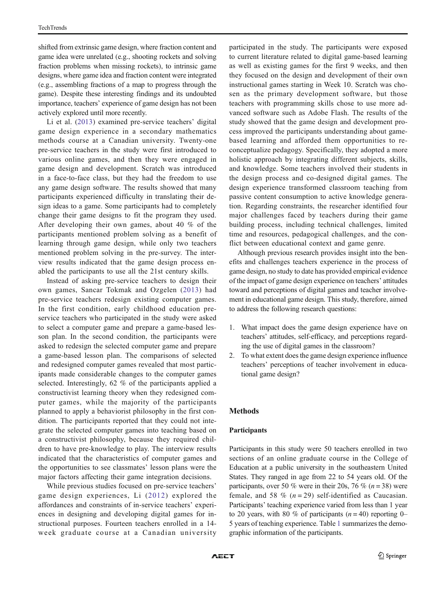shifted from extrinsic game design, where fraction content and game idea were unrelated (e.g., shooting rockets and solving fraction problems when missing rockets), to intrinsic game designs, where game idea and fraction content were integrated (e.g., assembling fractions of a map to progress through the game). Despite these interesting findings and its undoubted importance, teachers' experience of game design has not been actively explored until more recently.

Li et al. ([2013\)](#page-8-0) examined pre-service teachers' digital game design experience in a secondary mathematics methods course at a Canadian university. Twenty-one pre-service teachers in the study were first introduced to various online games, and then they were engaged in game design and development. Scratch was introduced in a face-to-face class, but they had the freedom to use any game design software. The results showed that many participants experienced difficulty in translating their design ideas to a game. Some participants had to completely change their game designs to fit the program they used. After developing their own games, about 40 % of the participants mentioned problem solving as a benefit of learning through game design, while only two teachers mentioned problem solving in the pre-survey. The interview results indicated that the game design process enabled the participants to use all the 21st century skills.

Instead of asking pre-service teachers to design their own games, Sancar Tokmak and Ozgelen ([2013\)](#page-8-0) had pre-service teachers redesign existing computer games. In the first condition, early childhood education preservice teachers who participated in the study were asked to select a computer game and prepare a game-based lesson plan. In the second condition, the participants were asked to redesign the selected computer game and prepare a game-based lesson plan. The comparisons of selected and redesigned computer games revealed that most participants made considerable changes to the computer games selected. Interestingly, 62 % of the participants applied a constructivist learning theory when they redesigned computer games, while the majority of the participants planned to apply a behaviorist philosophy in the first condition. The participants reported that they could not integrate the selected computer games into teaching based on a constructivist philosophy, because they required children to have pre-knowledge to play. The interview results indicated that the characteristics of computer games and the opportunities to see classmates' lesson plans were the major factors affecting their game integration decisions.

While previous studies focused on pre-service teachers' game design experiences, Li ([2012\)](#page-8-0) explored the affordances and constraints of in-service teachers' experiences in designing and developing digital games for instructional purposes. Fourteen teachers enrolled in a 14 week graduate course at a Canadian university participated in the study. The participants were exposed to current literature related to digital game-based learning as well as existing games for the first 9 weeks, and then they focused on the design and development of their own instructional games starting in Week 10. Scratch was chosen as the primary development software, but those teachers with programming skills chose to use more advanced software such as Adobe Flash. The results of the study showed that the game design and development process improved the participants understanding about gamebased learning and afforded them opportunities to reconceptualize pedagogy. Specifically, they adopted a more holistic approach by integrating different subjects, skills, and knowledge. Some teachers involved their students in the design process and co-designed digital games. The design experience transformed classroom teaching from passive content consumption to active knowledge generation. Regarding constraints, the researcher identified four major challenges faced by teachers during their game building process, including technical challenges, limited time and resources, pedagogical challenges, and the conflict between educational context and game genre.

Although previous research provides insight into the benefits and challenges teachers experience in the process of game design, no study to date has provided empirical evidence of the impact of game design experience on teachers' attitudes toward and perceptions of digital games and teacher involvement in educational game design. This study, therefore, aimed to address the following research questions:

- 1. What impact does the game design experience have on teachers' attitudes, self-efficacy, and perceptions regarding the use of digital games in the classroom?
- 2. To what extent does the game design experience influence teachers' perceptions of teacher involvement in educational game design?

#### Methods

#### Participants

Participants in this study were 50 teachers enrolled in two sections of an online graduate course in the College of Education at a public university in the southeastern United States. They ranged in age from 22 to 54 years old. Of the participants, over 50 % were in their 20s, 76 % ( $n = 38$ ) were female, and 58 %  $(n=29)$  self-identified as Caucasian. Participants' teaching experience varied from less than 1 year to 20 years, with 80 % of participants  $(n = 40)$  reporting 0– 5 years of teaching experience. Table [1](#page-3-0) summarizes the demographic information of the participants.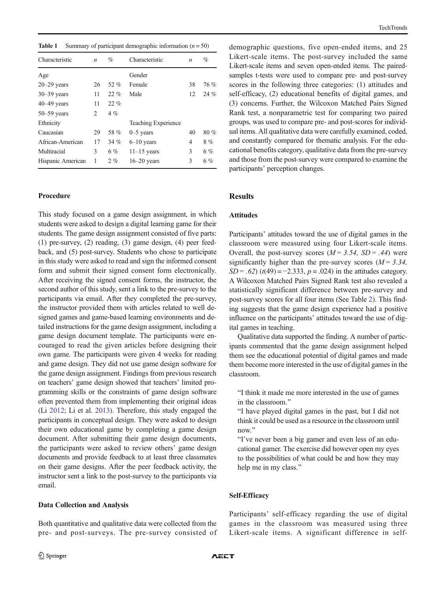<span id="page-3-0"></span>

| <b>Table 1</b> Summary of participant demographic information $(n = 50)$ |
|--------------------------------------------------------------------------|
|                                                                          |

| Characteristic    | $\boldsymbol{n}$ | %     | Characteristic             | n  | %    |
|-------------------|------------------|-------|----------------------------|----|------|
| Age               |                  |       | Gender                     |    |      |
| $20 - 29$ years   | 26               | 52 %  | Female                     | 38 | 76 % |
| $30 - 39$ years   | 11               | 22%   | Male                       | 12 | 24%  |
| $40 - 49$ years   | 11               | 22%   |                            |    |      |
| $50 - 59$ years   | 2                | $4\%$ |                            |    |      |
| Ethnicity         |                  |       | <b>Teaching Experience</b> |    |      |
| Caucasian         | 29               | 58 %  | $0-5$ years                | 40 | 80%  |
| African-American  | 17               | 34%   | $6-10$ years               | 4  | 8%   |
| Multiracial       | 3                | $6\%$ | $11-15$ years              | 3  | 6%   |
| Hispanic American | 1                | 2%    | $16 - 20$ years            | 3  | 6%   |

## Procedure

This study focused on a game design assignment, in which students were asked to design a digital learning game for their students. The game design assignment consisted of five parts: (1) pre-survey, (2) reading, (3) game design, (4) peer feedback, and (5) post-survey. Students who chose to participate in this study were asked to read and sign the informed consent form and submit their signed consent form electronically. After receiving the signed consent forms, the instructor, the second author of this study, sent a link to the pre-survey to the participants via email. After they completed the pre-survey, the instructor provided them with articles related to well designed games and game-based learning environments and detailed instructions for the game design assignment, including a game design document template. The participants were encouraged to read the given articles before designing their own game. The participants were given 4 weeks for reading and game design. They did not use game design software for the game design assignment. Findings from previous research on teachers' game design showed that teachers' limited programming skills or the constraints of game design software often prevented them from implementing their original ideas (Li [2012;](#page-8-0) Li et al. [2013\)](#page-8-0). Therefore, this study engaged the participants in conceptual design. They were asked to design their own educational game by completing a game design document. After submitting their game design documents, the participants were asked to review others' game design documents and provide feedback to at least three classmates on their game designs. After the peer feedback activity, the instructor sent a link to the post-survey to the participants via email.

#### Data Collection and Analysis

Both quantitative and qualitative data were collected from the pre- and post-surveys. The pre-survey consisted of demographic questions, five open-ended items, and 25 Likert-scale items. The post-survey included the same Likert-scale items and seven open-ended items. The pairedsamples t-tests were used to compare pre- and post-survey scores in the following three categories: (1) attitudes and self-efficacy, (2) educational benefits of digital games, and (3) concerns. Further, the Wilcoxon Matched Pairs Signed Rank test, a nonparametric test for comparing two paired groups, was used to compare pre- and post-scores for individual items. All qualitative data were carefully examined, coded, and constantly compared for thematic analysis. For the educational benefits category, qualitative data from the pre-survey and those from the post-survey were compared to examine the participants' perception changes.

#### Results

#### Attitudes

Participants' attitudes toward the use of digital games in the classroom were measured using four Likert-scale items. Overall, the post-survey scores  $(M = 3.54, SD = .44)$  were significantly higher than the pre-survey scores  $(M = 3.34)$ ,  $SD = .62$ ) ( $t(49) = -2.333$ ,  $p = .024$ ) in the attitudes category. A Wilcoxon Matched Pairs Signed Rank test also revealed a statistically significant difference between pre-survey and post-survey scores for all four items (See Table [2](#page-4-0)). This finding suggests that the game design experience had a positive influence on the participants' attitudes toward the use of digital games in teaching.

Qualitative data supported the finding. A number of participants commented that the game design assignment helped them see the educational potential of digital games and made them become more interested in the use of digital games in the classroom.

"I think it made me more interested in the use of games in the classroom."

"I have played digital games in the past, but I did not think it could be used as a resource in the classroom until now."

BI've never been a big gamer and even less of an educational gamer. The exercise did however open my eyes to the possibilities of what could be and how they may help me in my class."

#### Self-Efficacy

Participants' self-efficacy regarding the use of digital games in the classroom was measured using three Likert-scale items. A significant difference in self-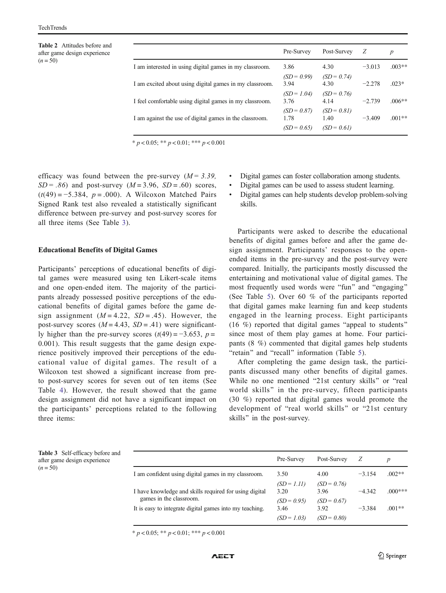<span id="page-4-0"></span>Table 2 Attitudes before and after game design experience  $(n = 50)$ 

| Pre-Survey<br>Post-Survey | Ζ        | $\boldsymbol{p}$                                |
|---------------------------|----------|-------------------------------------------------|
|                           |          |                                                 |
| 4.30                      | $-3.013$ | $.003**$                                        |
| $(SD = 0.99)$<br>4.30     | $-2.278$ | $.023*$                                         |
| $(SD = 1.04)$<br>4.14     | $-2.739$ | $.006**$                                        |
| $(SD = 0.87)$<br>1.40     | $-3.409$ | $.001**$                                        |
|                           |          | $(SD = 0.74)$<br>$(SD = 0.76)$<br>$(SD = 0.81)$ |

 $* p < 0.05; ** p < 0.01; *** p < 0.001$ 

efficacy was found between the pre-survey  $(M = 3.39)$ ,  $SD = .86$ ) and post-survey ( $M = 3.96$ ,  $SD = .60$ ) scores,  $(t(49) = -5.384, p = .000)$ . A Wilcoxon Matched Pairs Signed Rank test also revealed a statistically significant difference between pre-survey and post-survey scores for all three items (See Table 3).

#### Educational Benefits of Digital Games

Participants' perceptions of educational benefits of digital games were measured using ten Likert-scale items and one open-ended item. The majority of the participants already possessed positive perceptions of the educational benefits of digital games before the game design assignment  $(M = 4.22, SD = .45)$ . However, the post-survey scores  $(M = 4.43, SD = .41)$  were significantly higher than the pre-survey scores  $(t(49) = -3.653, p =$ 0.001). This result suggests that the game design experience positively improved their perceptions of the educational value of digital games. The result of a Wilcoxon test showed a significant increase from preto post-survey scores for seven out of ten items (See Table [4\)](#page-5-0). However, the result showed that the game design assignment did not have a significant impact on the participants' perceptions related to the following three items:

- Digital games can foster collaboration among students.
- Digital games can be used to assess student learning.
- & Digital games can help students develop problem-solving skills.

Participants were asked to describe the educational benefits of digital games before and after the game design assignment. Participants' responses to the openended items in the pre-survey and the post-survey were compared. Initially, the participants mostly discussed the entertaining and motivational value of digital games. The most frequently used words were "fun" and "engaging" (See Table [5\)](#page-5-0). Over 60 % of the participants reported that digital games make learning fun and keep students engaged in the learning process. Eight participants (16  $%$ ) reported that digital games "appeal to students" since most of them play games at home. Four participants (8 %) commented that digital games help students "retain" and "recall" information (Table [5](#page-5-0)).

After completing the game design task, the participants discussed many other benefits of digital games. While no one mentioned "21st century skills" or "real world skills" in the pre-survey, fifteen participants (30 %) reported that digital games would promote the development of "real world skills" or "21st century skills" in the post-survey.

|          | <b>Table 3</b> Self-efficacy before and |  |
|----------|-----------------------------------------|--|
|          | after game design experience            |  |
| $(n=50)$ |                                         |  |

| Pre-Survey            | Post-Survey           |          | $\boldsymbol{p}$ |
|-----------------------|-----------------------|----------|------------------|
| 3.50                  | 4.00                  | $-3.154$ | $.002**$         |
| $(SD = 1.11)$<br>3.20 | $(SD = 0.76)$<br>3.96 | $-4.342$ | $.000***$        |
| $(SD = 0.95)$         | $(SD = 0.67)$         |          | $.001**$         |
| $(SD = 1.03)$         | $(SD = 0.80)$         |          |                  |
|                       | 3.46                  | 3.92     | $-3.384$         |

 $* p < 0.05; ** p < 0.01; *** p < 0.001$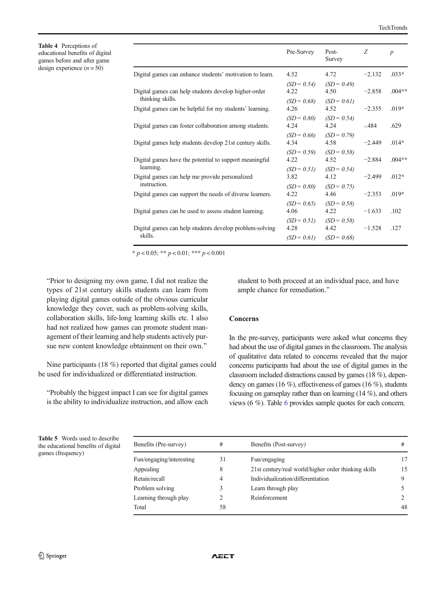<span id="page-5-0"></span>Table 4 Perceptions of educational benefits of digital games before and after game design experience  $(n = 50)$ 

|                                                                          | Pre-Survey                             | Post-<br>Survey                        | Z        | $\boldsymbol{p}$ |
|--------------------------------------------------------------------------|----------------------------------------|----------------------------------------|----------|------------------|
| Digital games can enhance students' motivation to learn.                 | 4.52                                   | 4.72                                   | $-2.132$ | $.033*$          |
| Digital games can help students develop higher-order<br>thinking skills. | $(SD = 0.54)$<br>4.22                  | $(SD = 0.49)$<br>4.50                  | $-2.858$ | $.004**$         |
| Digital games can be helpful for my students' learning.                  | $(SD = 0.68)$<br>4.26                  | $(SD = 0.61)$<br>4.52                  | $-2.355$ | $.019*$          |
| Digital games can foster collaboration among students.                   | $(SD = 0.80)$<br>4.24                  | $(SD = 0.54)$<br>4.24                  | $-.484$  | .629             |
| Digital games help students develop 21st century skills.                 | $(SD = 0.66)$<br>4.34                  | $(SD = 0.79)$<br>4.58                  | $-2.449$ | $.014*$          |
| Digital games have the potential to support meaningful<br>learning.      | $(SD = 0.59)$<br>4.22<br>$(SD = 0.51)$ | $(SD = 0.58)$<br>4.52<br>$(SD = 0.54)$ | $-2.884$ | $.004**$         |
| Digital games can help me provide personalized                           | 3.82                                   | 4.12                                   | $-2.499$ | $.012*$          |
| instruction.<br>Digital games can support the needs of diverse learners. | $(SD = 0.80)$<br>4.22                  | $(SD = 0.75)$<br>4.46                  | $-2.353$ | $.019*$          |
| Digital games can be used to assess student learning.                    | $(SD = 0.65)$<br>4.06                  | $(SD = 0.58)$<br>4.22                  | $-1.633$ | .102             |
| Digital games can help students develop problem-solving<br>skills.       | $(SD = 0.51)$<br>4.28<br>$(SD = 0.61)$ | $(SD = 0.58)$<br>4.42<br>$(SD = 0.68)$ | $-1.528$ | .127             |

\*  $p < 0.05$ ; \*\*  $p < 0.01$ ; \*\*\*  $p < 0.001$ 

"Prior to designing my own game, I did not realize the types of 21st century skills students can learn from playing digital games outside of the obvious curricular knowledge they cover, such as problem-solving skills, collaboration skills, life-long learning skills etc. I also had not realized how games can promote student management of their learning and help students actively pursue new content knowledge obtainment on their own."

Nine participants (18 %) reported that digital games could be used for individualized or differentiated instruction.

"Probably the biggest impact I can see for digital games is the ability to individualize instruction, and allow each student to both proceed at an individual pace, and have ample chance for remediation."

## Concerns

In the pre-survey, participants were asked what concerns they had about the use of digital games in the classroom. The analysis of qualitative data related to concerns revealed that the major concerns participants had about the use of digital games in the classroom included distractions caused by games (18 %), dependency on games (16 %), effectiveness of games (16 %), students focusing on gameplay rather than on learning (14 %), and others views (6 %). Table [6](#page-6-0) provides sample quotes for each concern.

Table 5 Words used to describe the educational benefits of digital games (frequency)

| Benefits (Pre-survey)    | #  | Benefits (Post-survey)                               | #           |
|--------------------------|----|------------------------------------------------------|-------------|
| Fun/engaging/interesting | 31 | Fun/engaging                                         | 17          |
| Appealing                | 8  | 21st century/real world/higher order thinking skills | 15          |
| Retain/recall            | 4  | Individualization/differentiation                    | 9           |
| Problem solving          | 3  | Learn through play                                   | 5           |
| Learning through play    | 2  | Reinforcement                                        | $2^{\circ}$ |
| Total                    | 58 |                                                      | 48          |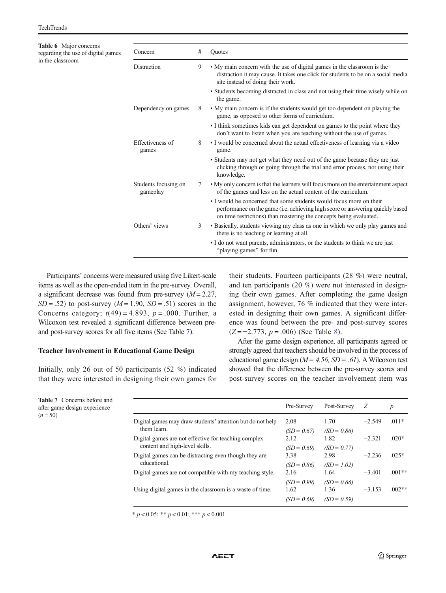<span id="page-6-0"></span>

| <b>Table 6</b> Major concerns<br>regarding the use of digital games | Concern                          | # | Ouotes                                                                                                                                                                                                                     |
|---------------------------------------------------------------------|----------------------------------|---|----------------------------------------------------------------------------------------------------------------------------------------------------------------------------------------------------------------------------|
| in the classroom                                                    | Distraction                      | 9 | • My main concern with the use of digital games in the classroom is the<br>distraction it may cause. It takes one click for students to be on a social media<br>site instead of doing their work.                          |
|                                                                     |                                  |   | • Students becoming distracted in class and not using their time wisely while on<br>the game.                                                                                                                              |
|                                                                     | Dependency on games              | 8 | • My main concern is if the students would get too dependent on playing the<br>game, as opposed to other forms of curriculum.                                                                                              |
|                                                                     |                                  |   | • I think sometimes kids can get dependent on games to the point where they<br>don't want to listen when you are teaching without the use of games.                                                                        |
|                                                                     | Effectiveness of<br>games        | 8 | • I would be concerned about the actual effectiveness of learning via a video<br>game.                                                                                                                                     |
|                                                                     |                                  |   | • Students may not get what they need out of the game because they are just<br>clicking through or going through the trial and error process, not using their<br>knowledge.                                                |
|                                                                     | Students focusing on<br>gameplay | 7 | • My only concern is that the learners will focus more on the entertainment aspect<br>of the games and less on the actual content of the curriculum.                                                                       |
|                                                                     |                                  |   | • I would be concerned that some students would focus more on their<br>performance on the game (i.e. achieving high score or answering quickly based<br>on time restrictions) than mastering the concepts being evaluated. |
|                                                                     | Others' views                    | 3 | • Basically, students viewing my class as one in which we only play games and<br>there is no teaching or learning at all.                                                                                                  |
|                                                                     |                                  |   | • I do not want parents, administrators, or the students to think we are just<br>"playing games" for fun.                                                                                                                  |

Participants' concerns were measured using five Likert-scale items as well as the open-ended item in the pre-survey. Overall, a significant decrease was found from pre-survey  $(M = 2.27)$ ,  $SD = .52$ ) to post-survey  $(M = 1.90, SD = .51)$  scores in the Concerns category;  $t(49) = 4.893$ ,  $p = .000$ . Further, a Wilcoxon test revealed a significant difference between preand post-survey scores for all five items (See Table 7).

#### Teacher Involvement in Educational Game Design

Initially, only 26 out of 50 participants (52 %) indicated that they were interested in designing their own games for their students. Fourteen participants (28 %) were neutral, and ten participants (20 %) were not interested in designing their own games. After completing the game design assignment, however, 76 % indicated that they were interested in designing their own games. A significant difference was found between the pre- and post-survey scores  $(Z = -2.773, p = .006)$  (See Table [8](#page-7-0)).

After the game design experience, all participants agreed or strongly agreed that teachers should be involved in the process of educational game design ( $M = 4.56$ ,  $SD = .61$ ). A Wilcoxon test showed that the difference between the pre-survey scores and post-survey scores on the teacher involvement item was

|            | <b>Table 7</b> Concerns before and |
|------------|------------------------------------|
|            | after game design experience       |
| $(n = 50)$ |                                    |

|                                                                                        | Pre-Survey            | Post-Survey           | Ζ        | $\boldsymbol{p}$ |
|----------------------------------------------------------------------------------------|-----------------------|-----------------------|----------|------------------|
| Digital games may draw students' attention but do not help<br>them learn.              | 2.08<br>$(SD = 0.67)$ | 1.70<br>$(SD = 0.86)$ | $-2.549$ | $.011*$          |
| Digital games are not effective for teaching complex<br>content and high-level skills. | 2.12<br>$(SD = 0.69)$ | 1.82<br>$(SD = 0.77)$ | $-2.321$ | $.020*$          |
| Digital games can be distracting even though they are<br>educational.                  | 3.38<br>$(SD = 0.86)$ | 2.98<br>$(SD = 1.02)$ | $-2.236$ | $.025*$          |
| Digital games are not compatible with my teaching style.                               | 2.16<br>$(SD = 0.99)$ | 1.64<br>$(SD = 0.66)$ | $-3.401$ | $.001**$         |
| Using digital games in the classroom is a waste of time.                               | 1.62<br>$(SD = 0.69)$ | 1.36<br>$(SD = 0.59)$ | $-3.153$ | $.002**$         |

\*  $p < 0.05$ ; \*\*  $p < 0.01$ ; \*\*\*  $p < 0.001$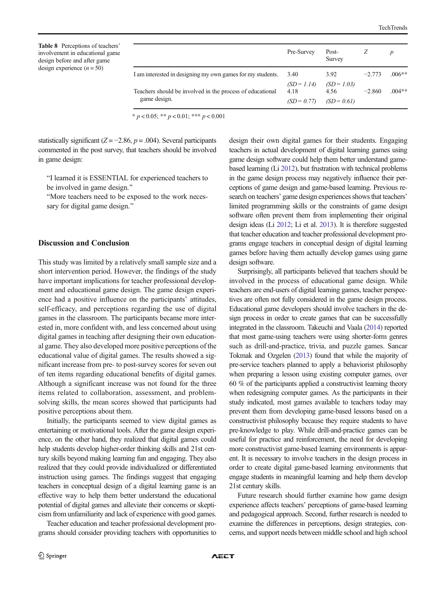<span id="page-7-0"></span>Table 8 Perceptions of teachers involvement in educational gam design before and after game design experience  $(n = 50)$ 

|                                                                           | Pre-Survey | Post-<br>Survey                                                    | Z        | p        |
|---------------------------------------------------------------------------|------------|--------------------------------------------------------------------|----------|----------|
| I am interested in designing my own games for my students.                | 3.40       | 3.92                                                               | $-2.773$ | $.006**$ |
| Teachers should be involved in the process of educational<br>game design. | 4.18       | $(SD = 1.14)$ $(SD = 1.03)$<br>4.56<br>$(SD = 0.77)$ $(SD = 0.61)$ | $-2.860$ | $.004**$ |

\*  $p < 0.05$ ; \*\*  $p < 0.01$ ; \*\*\*  $p < 0.001$ 

statistically significant ( $Z = -2.86$ ,  $p = .004$ ). Several participants commented in the post survey, that teachers should be involved in game design:

"I learned it is ESSENTIAL for experienced teachers to be involved in game design."

"More teachers need to be exposed to the work necessary for digital game design."

#### Discussion and Conclusion

This study was limited by a relatively small sample size and a short intervention period. However, the findings of the study have important implications for teacher professional development and educational game design. The game design experience had a positive influence on the participants' attitudes, self-efficacy, and perceptions regarding the use of digital games in the classroom. The participants became more interested in, more confident with, and less concerned about using digital games in teaching after designing their own educational game. They also developed more positive perceptions of the educational value of digital games. The results showed a significant increase from pre- to post-survey scores for seven out of ten items regarding educational benefits of digital games. Although a significant increase was not found for the three items related to collaboration, assessment, and problemsolving skills, the mean scores showed that participants had positive perceptions about them.

Initially, the participants seemed to view digital games as entertaining or motivational tools. After the game design experience, on the other hand, they realized that digital games could help students develop higher-order thinking skills and 21st century skills beyond making learning fun and engaging. They also realized that they could provide individualized or differentiated instruction using games. The findings suggest that engaging teachers in conceptual design of a digital learning game is an effective way to help them better understand the educational potential of digital games and alleviate their concerns or skepticism from unfamiliarity and lack of experience with good games.

Teacher education and teacher professional development programs should consider providing teachers with opportunities to design their own digital games for their students. Engaging teachers in actual development of digital learning games using game design software could help them better understand gamebased learning (Li [2012](#page-8-0)), but frustration with technical problems in the game design process may negatively influence their perceptions of game design and game-based learning. Previous research on teachers' game design experiences shows that teachers' limited programming skills or the constraints of game design software often prevent them from implementing their original design ideas (Li [2012](#page-8-0); Li et al. [2013\)](#page-8-0). It is therefore suggested that teacher education and teacher professional development programs engage teachers in conceptual design of digital learning games before having them actually develop games using game design software.

Surprisingly, all participants believed that teachers should be involved in the process of educational game design. While teachers are end-users of digital learning games, teacher perspectives are often not fully considered in the game design process. Educational game developers should involve teachers in the design process in order to create games that can be successfully integrated in the classroom. Takeuchi and Vaala [\(2014\)](#page-8-0) reported that most game-using teachers were using shorter-form genres such as drill-and-practice, trivia, and puzzle games. Sancar Tokmak and Ozgelen [\(2013\)](#page-8-0) found that while the majority of pre-service teachers planned to apply a behaviorist philosophy when preparing a lesson using existing computer games, over 60 % of the participants applied a constructivist learning theory when redesigning computer games. As the participants in their study indicated, most games available to teachers today may prevent them from developing game-based lessons based on a constructivist philosophy because they require students to have pre-knowledge to play. While drill-and-practice games can be useful for practice and reinforcement, the need for developing more constructivist game-based learning environments is apparent. It is necessary to involve teachers in the design process in order to create digital game-based learning environments that engage students in meaningful learning and help them develop 21st century skills.

Future research should further examine how game design experience affects teachers' perceptions of game-based learning and pedagogical approach. Second, further research is needed to examine the differences in perceptions, design strategies, concerns, and support needs between middle school and high school